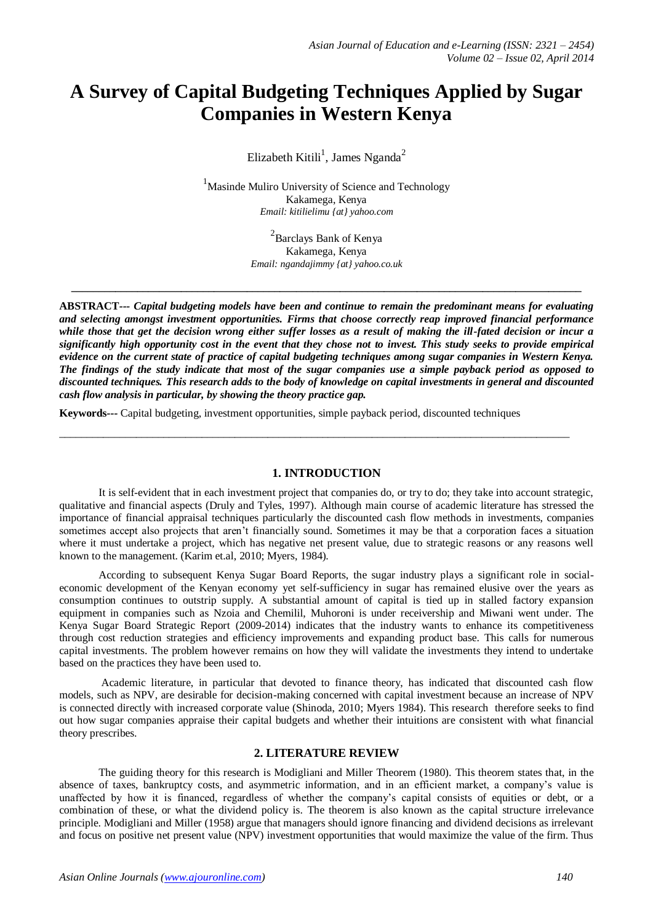# **A Survey of Capital Budgeting Techniques Applied by Sugar Companies in Western Kenya**

Elizabeth Kitili<sup>1</sup>, James Nganda<sup>2</sup>

<sup>1</sup>Masinde Muliro University of Science and Technology Kakamega, Kenya *Email: kitilielimu {at} yahoo.com*

> <sup>2</sup> Barclays Bank of Kenya Kakamega, Kenya *Email: ngandajimmy {at} yahoo.co.uk*

**\_\_\_\_\_\_\_\_\_\_\_\_\_\_\_\_\_\_\_\_\_\_\_\_\_\_\_\_\_\_\_\_\_\_\_\_\_\_\_\_\_\_\_\_\_\_\_\_\_\_\_\_\_\_\_\_\_\_\_\_\_\_\_\_\_\_\_\_\_\_\_\_\_\_\_\_\_\_\_\_\_\_\_\_\_\_\_\_\_\_\_\_\_**

**ABSTRACT***--- Capital budgeting models have been and continue to remain the predominant means for evaluating and selecting amongst investment opportunities. Firms that choose correctly reap improved financial performance while those that get the decision wrong either suffer losses as a result of making the ill-fated decision or incur a significantly high opportunity cost in the event that they chose not to invest. This study seeks to provide empirical evidence on the current state of practice of capital budgeting techniques among sugar companies in Western Kenya. The findings of the study indicate that most of the sugar companies use a simple payback period as opposed to discounted techniques. This research adds to the body of knowledge on capital investments in general and discounted cash flow analysis in particular, by showing the theory practice gap.*

**Keywords***---* Capital budgeting, investment opportunities, simple payback period, discounted techniques

#### **1. INTRODUCTION**

 $\_$  ,  $\_$  ,  $\_$  ,  $\_$  ,  $\_$  ,  $\_$  ,  $\_$  ,  $\_$  ,  $\_$  ,  $\_$  ,  $\_$  ,  $\_$  ,  $\_$  ,  $\_$  ,  $\_$  ,  $\_$  ,  $\_$  ,  $\_$  ,  $\_$  ,  $\_$  ,  $\_$  ,  $\_$  ,  $\_$  ,  $\_$  ,  $\_$  ,  $\_$  ,  $\_$  ,  $\_$  ,  $\_$  ,  $\_$  ,  $\_$  ,  $\_$  ,  $\_$  ,  $\_$  ,  $\_$  ,  $\_$  ,  $\_$  ,

It is self-evident that in each investment project that companies do, or try to do; they take into account strategic, qualitative and financial aspects (Druly and Tyles, 1997). Although main course of academic literature has stressed the importance of financial appraisal techniques particularly the discounted cash flow methods in investments, companies sometimes accept also projects that aren't financially sound. Sometimes it may be that a corporation faces a situation where it must undertake a project, which has negative net present value, due to strategic reasons or any reasons well known to the management. (Karim et.al, 2010; Myers, 1984).

According to subsequent Kenya Sugar Board Reports, the sugar industry plays a significant role in socialeconomic development of the Kenyan economy yet self-sufficiency in sugar has remained elusive over the years as consumption continues to outstrip supply. A substantial amount of capital is tied up in stalled factory expansion equipment in companies such as Nzoia and Chemilil, Muhoroni is under receivership and Miwani went under. The Kenya Sugar Board Strategic Report (2009-2014) indicates that the industry wants to enhance its competitiveness through cost reduction strategies and efficiency improvements and expanding product base. This calls for numerous capital investments. The problem however remains on how they will validate the investments they intend to undertake based on the practices they have been used to.

Academic literature, in particular that devoted to finance theory, has indicated that discounted cash flow models, such as NPV, are desirable for decision-making concerned with capital investment because an increase of NPV is connected directly with increased corporate value (Shinoda, 2010; Myers 1984). This research therefore seeks to find out how sugar companies appraise their capital budgets and whether their intuitions are consistent with what financial theory prescribes.

# **2. LITERATURE REVIEW**

The guiding theory for this research is Modigliani and Miller Theorem (1980). This theorem states that, in the absence of taxes, bankruptcy costs, and [asymmetric information,](http://www.qfinance.com/dictionary/asymmetric-information) and in an efficient market, a company's value is unaffected by how it is financed, regardless of whether the company's capital consists of equities or debt, or a combination of these, or what the dividend policy is. The theorem is also known as the [capital structure](http://www.qfinance.com/dictionary/capital-structure) irrelevance principle. Modigliani and Miller (1958) argue that managers should ignore financing and dividend decisions as irrelevant and focus on positive net present value (NPV) investment opportunities that would maximize the value of the firm. Thus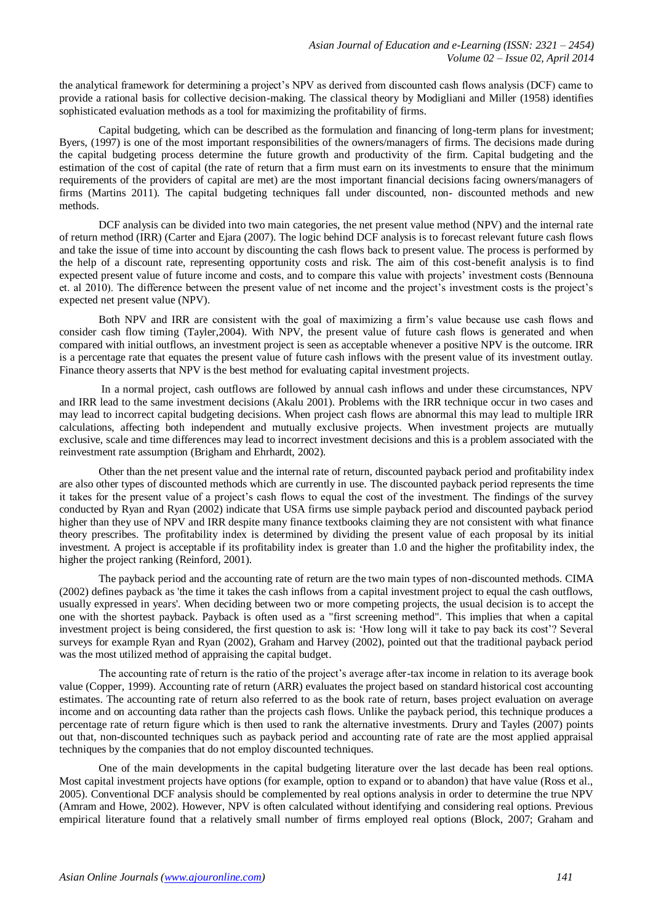the analytical framework for determining a project's NPV as derived from discounted cash flows analysis (DCF) came to provide a rational basis for collective decision-making. The classical theory by Modigliani and Miller (1958) identifies sophisticated evaluation methods as a tool for maximizing the profitability of firms.

Capital budgeting, which can be described as the formulation and financing of long-term plans for investment; Byers, (1997) is one of the most important responsibilities of the owners/managers of firms. The decisions made during the capital budgeting process determine the future growth and productivity of the firm. Capital budgeting and the estimation of the cost of capital (the rate of return that a firm must earn on its investments to ensure that the minimum requirements of the providers of capital are met) are the most important financial decisions facing owners/managers of firms (Martins 2011). The capital budgeting techniques fall under discounted, non- discounted methods and new methods.

DCF analysis can be divided into two main categories, the net present value method (NPV) and the internal rate of return method (IRR) (Carter and Ejara (2007). The logic behind DCF analysis is to forecast relevant future cash flows and take the issue of time into account by discounting the cash flows back to present value. The process is performed by the help of a discount rate, representing opportunity costs and risk. The aim of this cost-benefit analysis is to find expected present value of future income and costs, and to compare this value with projects' investment costs (Bennouna et. al 2010). The difference between the present value of net income and the project's investment costs is the project's expected net present value (NPV).

Both NPV and IRR are consistent with the goal of maximizing a firm's value because use cash flows and consider cash flow timing (Tayler,2004). With NPV, the present value of future cash flows is generated and when compared with initial outflows, an investment project is seen as acceptable whenever a positive NPV is the outcome. IRR is a percentage rate that equates the present value of future cash inflows with the present value of its investment outlay. Finance theory asserts that NPV is the best method for evaluating capital investment projects.

In a normal project, cash outflows are followed by annual cash inflows and under these circumstances, NPV and IRR lead to the same investment decisions (Akalu 2001). Problems with the IRR technique occur in two cases and may lead to incorrect capital budgeting decisions. When project cash flows are abnormal this may lead to multiple IRR calculations, affecting both independent and mutually exclusive projects. When investment projects are mutually exclusive, scale and time differences may lead to incorrect investment decisions and this is a problem associated with the reinvestment rate assumption (Brigham and Ehrhardt, 2002).

Other than the net present value and the internal rate of return, discounted payback period and profitability index are also other types of discounted methods which are currently in use. The discounted payback period represents the time it takes for the present value of a project's cash flows to equal the cost of the investment. The findings of the survey conducted by Ryan and Ryan (2002) indicate that USA firms use simple payback period and discounted payback period higher than they use of NPV and IRR despite many finance textbooks claiming they are not consistent with what finance theory prescribes. The profitability index is determined by dividing the present value of each proposal by its initial investment. A project is acceptable if its profitability index is greater than 1.0 and the higher the profitability index, the higher the project ranking (Reinford, 2001).

The payback period and the accounting rate of return are the two main types of non-discounted methods. CIMA (2002) defines payback as 'the time it takes the cash inflows from a capital investment project to equal the cash outflows, usually expressed in years'. When deciding between two or more competing projects, the usual decision is to accept the one with the shortest payback. Payback is often used as a "first screening method". This implies that when a capital investment project is being considered, the first question to ask is: 'How long will it take to pay back its cost'? Several surveys for example Ryan and Ryan (2002), Graham and Harvey (2002), pointed out that the traditional payback period was the most utilized method of appraising the capital budget.

The accounting rate of return is the ratio of the project's average after-tax income in relation to its average book value (Copper, 1999). Accounting rate of return (ARR) evaluates the project based on standard historical cost accounting estimates. The accounting rate of return also referred to as the book rate of return, bases project evaluation on average income and on accounting data rather than the projects cash flows. Unlike the payback period, this technique produces a percentage rate of return figure which is then used to rank the alternative investments. Drury and Tayles (2007) points out that, non-discounted techniques such as payback period and accounting rate of rate are the most applied appraisal techniques by the companies that do not employ discounted techniques.

One of the main developments in the capital budgeting literature over the last decade has been real options. Most capital investment projects have options (for example, option to expand or to abandon) that have value (Ross et al., 2005). Conventional DCF analysis should be complemented by real options analysis in order to determine the true NPV (Amram and Howe, 2002). However, NPV is often calculated without identifying and considering real options. Previous empirical literature found that a relatively small number of firms employed real options (Block, 2007; Graham and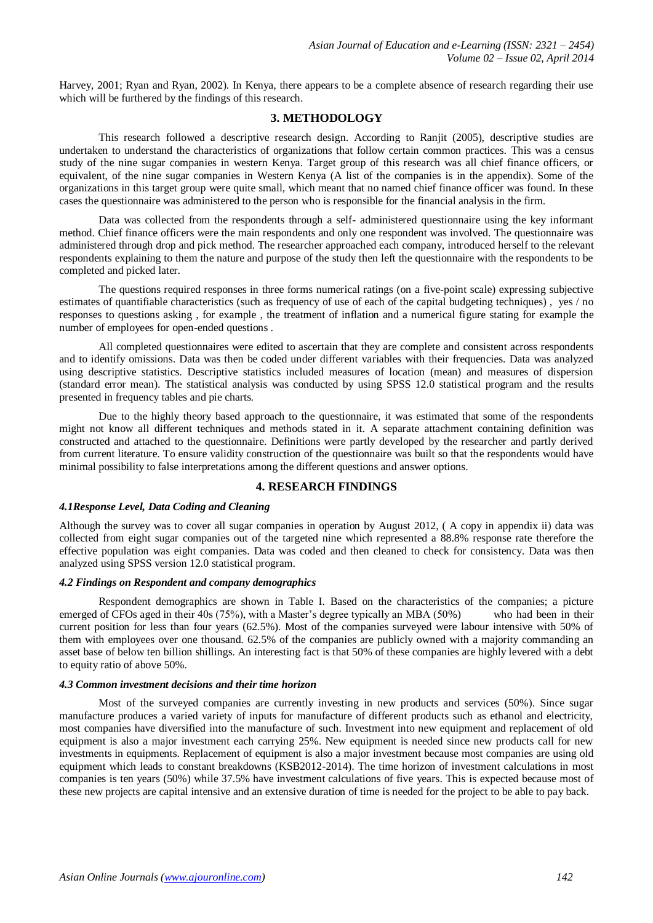Harvey, 2001; Ryan and Ryan, 2002). In Kenya, there appears to be a complete absence of research regarding their use which will be furthered by the findings of this research.

## **3. METHODOLOGY**

This research followed a descriptive research design. According to Ranjit (2005), descriptive studies are undertaken to understand the characteristics of organizations that follow certain common practices. This was a census study of the nine sugar companies in western Kenya. Target group of this research was all chief finance officers, or equivalent, of the nine sugar companies in Western Kenya (A list of the companies is in the appendix). Some of the organizations in this target group were quite small, which meant that no named chief finance officer was found. In these cases the questionnaire was administered to the person who is responsible for the financial analysis in the firm.

Data was collected from the respondents through a self- administered questionnaire using the key informant method. Chief finance officers were the main respondents and only one respondent was involved. The questionnaire was administered through drop and pick method. The researcher approached each company, introduced herself to the relevant respondents explaining to them the nature and purpose of the study then left the questionnaire with the respondents to be completed and picked later.

The questions required responses in three forms numerical ratings (on a five-point scale) expressing subjective estimates of quantifiable characteristics (such as frequency of use of each of the capital budgeting techniques) , yes / no responses to questions asking , for example , the treatment of inflation and a numerical figure stating for example the number of employees for open-ended questions .

All completed questionnaires were edited to ascertain that they are complete and consistent across respondents and to identify omissions. Data was then be coded under different variables with their frequencies. Data was analyzed using descriptive statistics. Descriptive statistics included measures of location (mean) and measures of dispersion (standard error mean). The statistical analysis was conducted by using SPSS 12.0 statistical program and the results presented in frequency tables and pie charts.

Due to the highly theory based approach to the questionnaire, it was estimated that some of the respondents might not know all different techniques and methods stated in it. A separate attachment containing definition was constructed and attached to the questionnaire. Definitions were partly developed by the researcher and partly derived from current literature. To ensure validity construction of the questionnaire was built so that the respondents would have minimal possibility to false interpretations among the different questions and answer options.

# **4. RESEARCH FINDINGS**

#### *4.1Response Level, Data Coding and Cleaning*

Although the survey was to cover all sugar companies in operation by August 2012, ( A copy in appendix ii) data was collected from eight sugar companies out of the targeted nine which represented a 88.8% response rate therefore the effective population was eight companies. Data was coded and then cleaned to check for consistency. Data was then analyzed using SPSS version 12.0 statistical program.

### *4.2 Findings on Respondent and company demographics*

Respondent demographics are shown in Table I. Based on the characteristics of the companies; a picture emerged of CFOs aged in their 40s (75%), with a Master's degree typically an MBA (50%) who had been in their current position for less than four years (62.5%). Most of the companies surveyed were labour intensive with 50% of them with employees over one thousand. 62.5% of the companies are publicly owned with a majority commanding an asset base of below ten billion shillings. An interesting fact is that 50% of these companies are highly levered with a debt to equity ratio of above 50%.

#### *4.3 Common investment decisions and their time horizon*

Most of the surveyed companies are currently investing in new products and services (50%). Since sugar manufacture produces a varied variety of inputs for manufacture of different products such as ethanol and electricity, most companies have diversified into the manufacture of such. Investment into new equipment and replacement of old equipment is also a major investment each carrying 25%. New equipment is needed since new products call for new investments in equipments. Replacement of equipment is also a major investment because most companies are using old equipment which leads to constant breakdowns (KSB2012-2014). The time horizon of investment calculations in most companies is ten years (50%) while 37.5% have investment calculations of five years. This is expected because most of these new projects are capital intensive and an extensive duration of time is needed for the project to be able to pay back.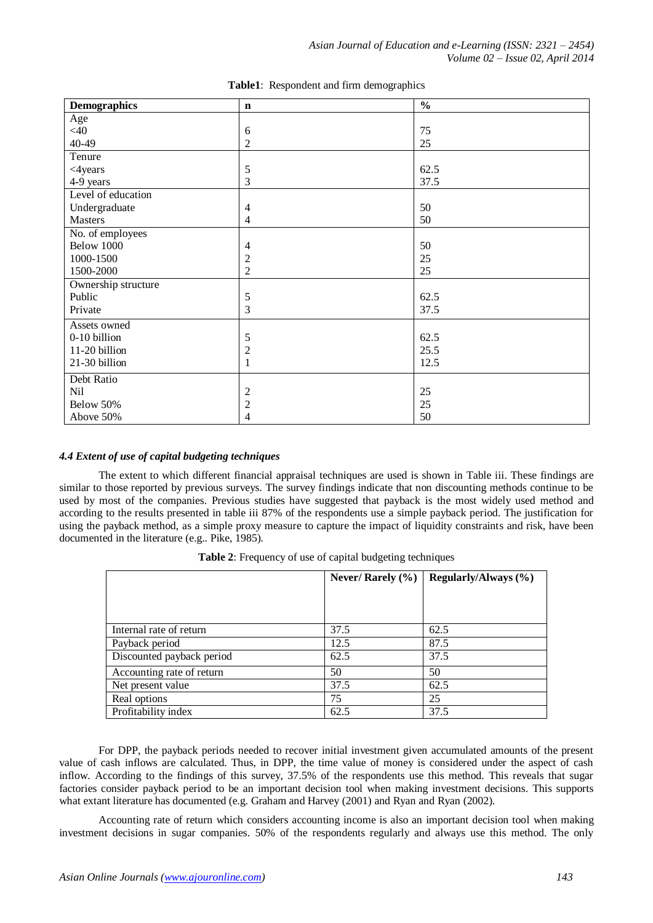| <b>Demographics</b> | $\mathbf n$    | $\overline{\frac{0}{0}}$ |
|---------------------|----------------|--------------------------|
| Age                 |                |                          |
| $<$ 40              | 6              | 75                       |
| 40-49               | $\overline{2}$ | 25                       |
| Tenure              |                |                          |
| <4years             | $\sqrt{5}$     | 62.5                     |
| 4-9 years           | 3              | 37.5                     |
| Level of education  |                |                          |
| Undergraduate       | $\overline{4}$ | 50                       |
| <b>Masters</b>      | $\overline{4}$ | 50                       |
| No. of employees    |                |                          |
| Below 1000          | $\overline{4}$ | 50                       |
| 1000-1500           | $\overline{c}$ | 25                       |
| 1500-2000           | $\overline{2}$ | 25                       |
| Ownership structure |                |                          |
| Public              | $\sqrt{5}$     | 62.5                     |
| Private             | $\overline{3}$ | 37.5                     |
| Assets owned        |                |                          |
| 0-10 billion        | $\sqrt{5}$     | 62.5                     |
| 11-20 billion       | $\frac{2}{1}$  | 25.5                     |
| 21-30 billion       |                | 12.5                     |
| Debt Ratio          |                |                          |
| Nil                 | $\overline{c}$ | 25                       |
| Below 50%           | $\overline{c}$ | 25                       |
| Above 50%           | 4              | 50                       |

**Table1**: Respondent and firm demographics

#### *4.4 Extent of use of capital budgeting techniques*

The extent to which different financial appraisal techniques are used is shown in Table iii. These findings are similar to those reported by previous surveys. The survey findings indicate that non discounting methods continue to be used by most of the companies. Previous studies have suggested that payback is the most widely used method and according to the results presented in table iii 87% of the respondents use a simple payback period. The justification for using the payback method, as a simple proxy measure to capture the impact of liquidity constraints and risk, have been documented in the literature (e.g.. Pike, 1985).

|                           | Never/ Rarely $(\% )$ | Regularly/Always (%) |
|---------------------------|-----------------------|----------------------|
|                           |                       |                      |
|                           |                       |                      |
|                           |                       |                      |
| Internal rate of return   | 37.5                  | 62.5                 |
| Payback period            | 12.5                  | 87.5                 |
| Discounted payback period | 62.5                  | 37.5                 |
| Accounting rate of return | 50                    | 50                   |
| Net present value         | 37.5                  | 62.5                 |
| Real options              | 75                    | 25                   |
| Profitability index       | 62.5                  | 37.5                 |

**Table 2**: Frequency of use of capital budgeting techniques

For DPP, the payback periods needed to recover initial investment given accumulated amounts of the present value of cash inflows are calculated. Thus, in DPP, the time value of money is considered under the aspect of cash inflow. According to the findings of this survey, 37.5% of the respondents use this method. This reveals that sugar factories consider payback period to be an important decision tool when making investment decisions. This supports what extant literature has documented (e.g. Graham and Harvey (2001) and Ryan and Ryan (2002).

Accounting rate of return which considers accounting income is also an important decision tool when making investment decisions in sugar companies. 50% of the respondents regularly and always use this method. The only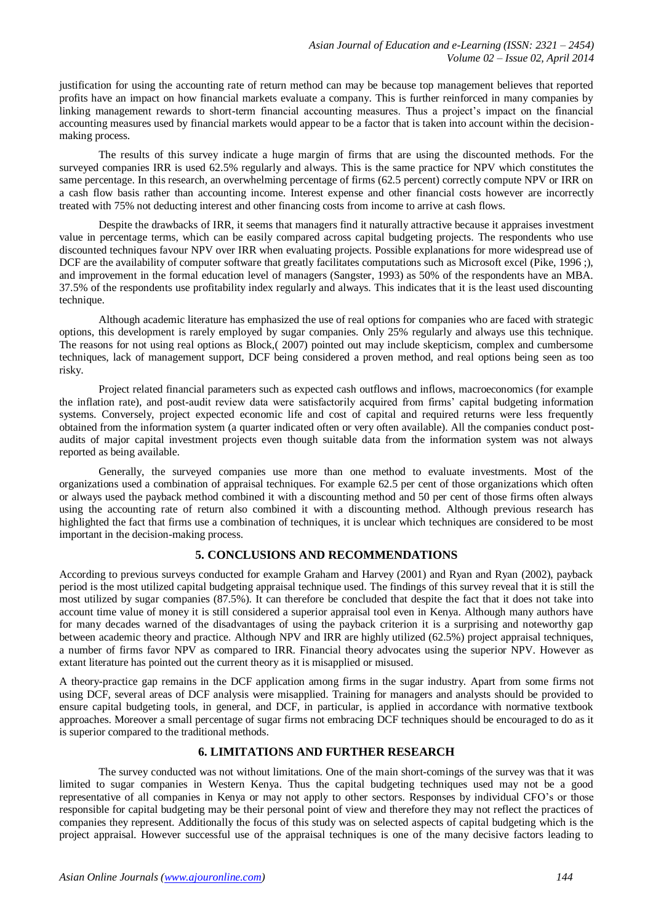justification for using the accounting rate of return method can may be because top management believes that reported profits have an impact on how financial markets evaluate a company. This is further reinforced in many companies by linking management rewards to short-term financial accounting measures. Thus a project's impact on the financial accounting measures used by financial markets would appear to be a factor that is taken into account within the decisionmaking process.

The results of this survey indicate a huge margin of firms that are using the discounted methods. For the surveyed companies IRR is used 62.5% regularly and always. This is the same practice for NPV which constitutes the same percentage. In this research, an overwhelming percentage of firms (62.5 percent) correctly compute NPV or IRR on a cash flow basis rather than accounting income. Interest expense and other financial costs however are incorrectly treated with 75% not deducting interest and other financing costs from income to arrive at cash flows.

Despite the drawbacks of IRR, it seems that managers find it naturally attractive because it appraises investment value in percentage terms, which can be easily compared across capital budgeting projects. The respondents who use discounted techniques favour NPV over IRR when evaluating projects. Possible explanations for more widespread use of DCF are the availability of computer software that greatly facilitates computations such as Microsoft excel (Pike, 1996;), and improvement in the formal education level of managers (Sangster, 1993) as 50% of the respondents have an MBA. 37.5% of the respondents use profitability index regularly and always. This indicates that it is the least used discounting technique.

Although academic literature has emphasized the use of real options for companies who are faced with strategic options, this development is rarely employed by sugar companies. Only 25% regularly and always use this technique. The reasons for not using real options as Block,( 2007) pointed out may include skepticism, complex and cumbersome techniques, lack of management support, DCF being considered a proven method, and real options being seen as too risky.

Project related financial parameters such as expected cash outflows and inflows, macroeconomics (for example the inflation rate), and post-audit review data were satisfactorily acquired from firms' capital budgeting information systems. Conversely, project expected economic life and cost of capital and required returns were less frequently obtained from the information system (a quarter indicated often or very often available). All the companies conduct postaudits of major capital investment projects even though suitable data from the information system was not always reported as being available.

Generally, the surveyed companies use more than one method to evaluate investments. Most of the organizations used a combination of appraisal techniques. For example 62.5 per cent of those organizations which often or always used the payback method combined it with a discounting method and 50 per cent of those firms often always using the accounting rate of return also combined it with a discounting method. Although previous research has highlighted the fact that firms use a combination of techniques, it is unclear which techniques are considered to be most important in the decision-making process.

# **5. CONCLUSIONS AND RECOMMENDATIONS**

According to previous surveys conducted for example Graham and Harvey (2001) and Ryan and Ryan (2002), payback period is the most utilized capital budgeting appraisal technique used. The findings of this survey reveal that it is still the most utilized by sugar companies (87.5%). It can therefore be concluded that despite the fact that it does not take into account time value of money it is still considered a superior appraisal tool even in Kenya. Although many authors have for many decades warned of the disadvantages of using the payback criterion it is a surprising and noteworthy gap between academic theory and practice. Although NPV and IRR are highly utilized (62.5%) project appraisal techniques, a number of firms favor NPV as compared to IRR. Financial theory advocates using the superior NPV. However as extant literature has pointed out the current theory as it is misapplied or misused.

A theory-practice gap remains in the DCF application among firms in the sugar industry. Apart from some firms not using DCF, several areas of DCF analysis were misapplied. Training for managers and analysts should be provided to ensure capital budgeting tools, in general, and DCF, in particular, is applied in accordance with normative textbook approaches. Moreover a small percentage of sugar firms not embracing DCF techniques should be encouraged to do as it is superior compared to the traditional methods.

# **6. LIMITATIONS AND FURTHER RESEARCH**

The survey conducted was not without limitations. One of the main short-comings of the survey was that it was limited to sugar companies in Western Kenya. Thus the capital budgeting techniques used may not be a good representative of all companies in Kenya or may not apply to other sectors. Responses by individual CFO's or those responsible for capital budgeting may be their personal point of view and therefore they may not reflect the practices of companies they represent. Additionally the focus of this study was on selected aspects of capital budgeting which is the project appraisal. However successful use of the appraisal techniques is one of the many decisive factors leading to